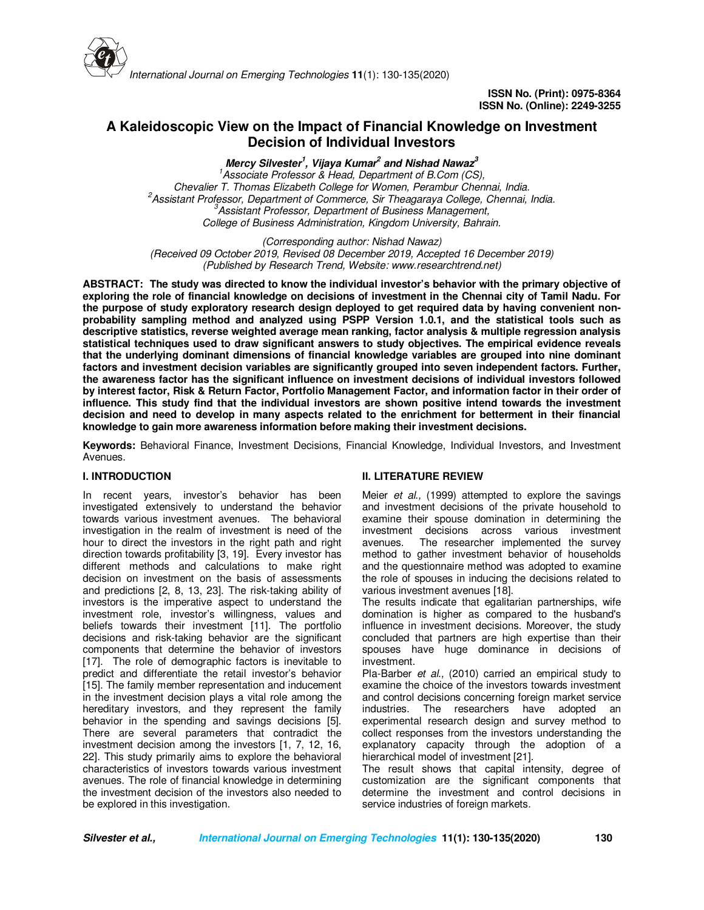

# **A Kaleidoscopic View on the Impact of Financial Knowledge on Investment Decision of Individual Investors**

**Mercy Silvester<sup>1</sup> , Vijaya Kumar<sup>2</sup> and Nishad Nawaz<sup>3</sup>**

*<sup>1</sup>Associate Professor & Head, Department of B.Com (CS), Chevalier T. Thomas Elizabeth College for Women, Perambur Chennai, India. <sup>2</sup>Assistant Professor, Department of Commerce, Sir Theagaraya College, Chennai, India. <sup>3</sup>Assistant Professor, Department of Business Management, College of Business Administration, Kingdom University, Bahrain.* 

*(Corresponding author: Nishad Nawaz) (Received 09 October 2019, Revised 08 December 2019, Accepted 16 December 2019) (Published by Research Trend, Website: www.researchtrend.net)*

**ABSTRACT: The study was directed to know the individual investor's behavior with the primary objective of exploring the role of financial knowledge on decisions of investment in the Chennai city of Tamil Nadu. For the purpose of study exploratory research design deployed to get required data by having convenient nonprobability sampling method and analyzed using PSPP Version 1.0.1, and the statistical tools such as descriptive statistics, reverse weighted average mean ranking, factor analysis & multiple regression analysis statistical techniques used to draw significant answers to study objectives. The empirical evidence reveals that the underlying dominant dimensions of financial knowledge variables are grouped into nine dominant factors and investment decision variables are significantly grouped into seven independent factors. Further, the awareness factor has the significant influence on investment decisions of individual investors followed by interest factor, Risk & Return Factor, Portfolio Management Factor, and information factor in their order of influence. This study find that the individual investors are shown positive intend towards the investment decision and need to develop in many aspects related to the enrichment for betterment in their financial knowledge to gain more awareness information before making their investment decisions.** 

**Keywords:** Behavioral Finance, Investment Decisions, Financial Knowledge, Individual Investors, and Investment Avenues.

### **I. INTRODUCTION**

In recent years, investor's behavior has been investigated extensively to understand the behavior towards various investment avenues. The behavioral investigation in the realm of investment is need of the hour to direct the investors in the right path and right direction towards profitability [3, 19]. Every investor has different methods and calculations to make right decision on investment on the basis of assessments and predictions [2, 8, 13, 23]. The risk-taking ability of investors is the imperative aspect to understand the investment role, investor's willingness, values and beliefs towards their investment [11]. The portfolio decisions and risk-taking behavior are the significant components that determine the behavior of investors [17]. The role of demographic factors is inevitable to predict and differentiate the retail investor's behavior [15]. The family member representation and inducement in the investment decision plays a vital role among the hereditary investors, and they represent the family behavior in the spending and savings decisions [5]. There are several parameters that contradict the investment decision among the investors [1, 7, 12, 16, 22]. This study primarily aims to explore the behavioral characteristics of investors towards various investment avenues. The role of financial knowledge in determining the investment decision of the investors also needed to be explored in this investigation.

### **II. LITERATURE REVIEW**

Meier *et al.,* (1999) attempted to explore the savings and investment decisions of the private household to examine their spouse domination in determining the investment decisions across various investment avenues. The researcher implemented the survey method to gather investment behavior of households and the questionnaire method was adopted to examine the role of spouses in inducing the decisions related to various investment avenues [18].

The results indicate that egalitarian partnerships, wife domination is higher as compared to the husband's influence in investment decisions. Moreover, the study concluded that partners are high expertise than their spouses have huge dominance in decisions of investment.

Pla-Barber *et al.,* (2010) carried an empirical study to examine the choice of the investors towards investment and control decisions concerning foreign market service industries. The researchers have adopted an experimental research design and survey method to collect responses from the investors understanding the explanatory capacity through the adoption of a hierarchical model of investment [21].

The result shows that capital intensity, degree of customization are the significant components that determine the investment and control decisions in service industries of foreign markets.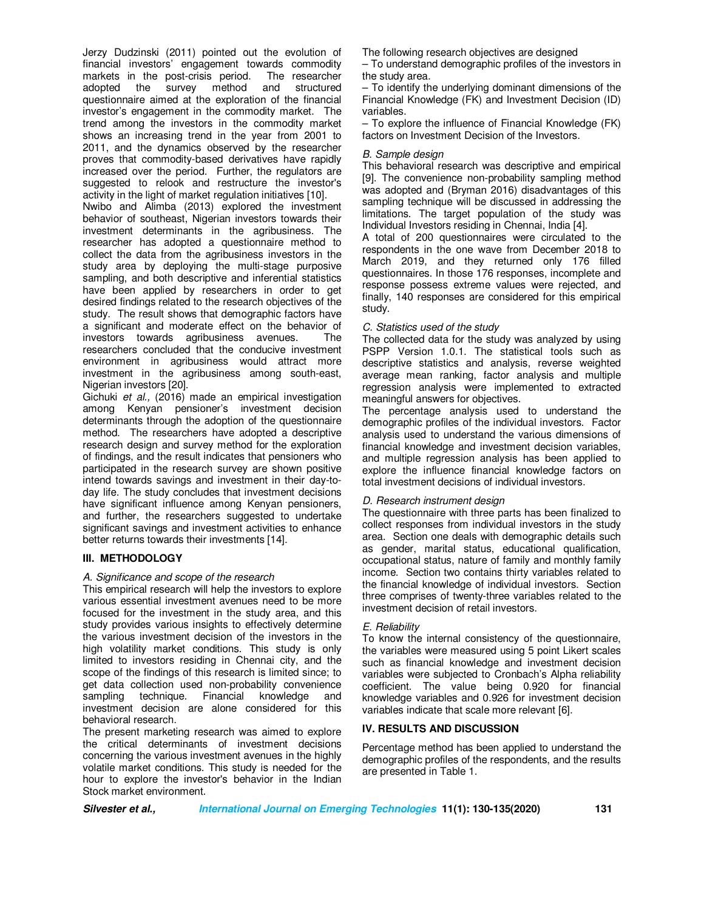Jerzy Dudzinski (2011) pointed out the evolution of financial investors' engagement towards commodity<br>markets in the post-crisis period. The researcher markets in the post-crisis period. The researcher adopted the survey method and structured adopted the survey method and questionnaire aimed at the exploration of the financial investor's engagement in the commodity market. The trend among the investors in the commodity market shows an increasing trend in the year from 2001 to 2011, and the dynamics observed by the researcher proves that commodity-based derivatives have rapidly increased over the period. Further, the regulators are suggested to relook and restructure the investor's activity in the light of market regulation initiatives [10]. Nwibo and Alimba (2013) explored the investment behavior of southeast, Nigerian investors towards their

investment determinants in the agribusiness. The researcher has adopted a questionnaire method to collect the data from the agribusiness investors in the study area by deploying the multi-stage purposive sampling, and both descriptive and inferential statistics have been applied by researchers in order to get desired findings related to the research objectives of the study. The result shows that demographic factors have a significant and moderate effect on the behavior of investors towards agribusiness avenues. The researchers concluded that the conducive investment environment in agribusiness would attract more investment in the agribusiness among south-east, Nigerian investors [20].

Gichuki *et al.,* (2016) made an empirical investigation among Kenyan pensioner's investment decision determinants through the adoption of the questionnaire method. The researchers have adopted a descriptive research design and survey method for the exploration of findings, and the result indicates that pensioners who participated in the research survey are shown positive intend towards savings and investment in their day-today life. The study concludes that investment decisions have significant influence among Kenyan pensioners, and further, the researchers suggested to undertake significant savings and investment activities to enhance better returns towards their investments [14].

### **III. METHODOLOGY**

### *A. Significance and scope of the research*

This empirical research will help the investors to explore various essential investment avenues need to be more focused for the investment in the study area, and this study provides various insights to effectively determine the various investment decision of the investors in the high volatility market conditions. This study is only limited to investors residing in Chennai city, and the scope of the findings of this research is limited since; to get data collection used non-probability convenience<br>sampling technique. Financial knowledge and sampling technique. Financial investment decision are alone considered for this behavioral research.

The present marketing research was aimed to explore the critical determinants of investment decisions concerning the various investment avenues in the highly volatile market conditions. This study is needed for the hour to explore the investor's behavior in the Indian Stock market environment.

The following research objectives are designed

– To understand demographic profiles of the investors in the study area.

– To identify the underlying dominant dimensions of the Financial Knowledge (FK) and Investment Decision (ID) variables.

– To explore the influence of Financial Knowledge (FK) factors on Investment Decision of the Investors.

### *B. Sample design*

This behavioral research was descriptive and empirical [9]. The convenience non-probability sampling method was adopted and (Bryman 2016) disadvantages of this sampling technique will be discussed in addressing the limitations. The target population of the study was Individual Investors residing in Chennai, India [4].

A total of 200 questionnaires were circulated to the respondents in the one wave from December 2018 to March 2019, and they returned only 176 filled questionnaires. In those 176 responses, incomplete and response possess extreme values were rejected, and finally, 140 responses are considered for this empirical study.

### *C. Statistics used of the study*

The collected data for the study was analyzed by using PSPP Version 1.0.1. The statistical tools such as descriptive statistics and analysis, reverse weighted average mean ranking, factor analysis and multiple regression analysis were implemented to extracted meaningful answers for objectives.

The percentage analysis used to understand the demographic profiles of the individual investors. Factor analysis used to understand the various dimensions of financial knowledge and investment decision variables, and multiple regression analysis has been applied to explore the influence financial knowledge factors on total investment decisions of individual investors.

### *D. Research instrument design*

The questionnaire with three parts has been finalized to collect responses from individual investors in the study area. Section one deals with demographic details such as gender, marital status, educational qualification, occupational status, nature of family and monthly family income. Section two contains thirty variables related to the financial knowledge of individual investors. Section three comprises of twenty-three variables related to the investment decision of retail investors.

### *E. Reliability*

To know the internal consistency of the questionnaire, the variables were measured using 5 point Likert scales such as financial knowledge and investment decision variables were subjected to Cronbach's Alpha reliability coefficient. The value being 0.920 for financial knowledge variables and 0.926 for investment decision variables indicate that scale more relevant [6].

### **IV. RESULTS AND DISCUSSION**

Percentage method has been applied to understand the demographic profiles of the respondents, and the results are presented in Table 1.

**Silvester et al., International Journal on Emerging Technologies 11(1): 130-135(2020) 131**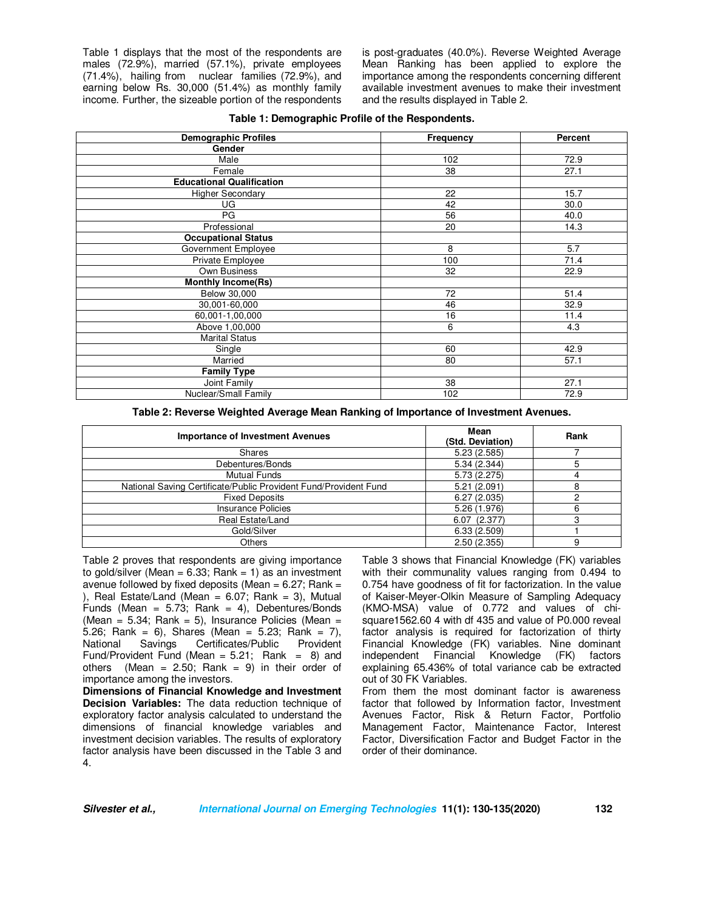Table 1 displays that the most of the respondents are males (72.9%), married (57.1%), private employees (71.4%), hailing from nuclear families (72.9%), and earning below Rs. 30,000 (51.4%) as monthly family income. Further, the sizeable portion of the respondents is post-graduates (40.0%). Reverse Weighted Average Mean Ranking has been applied to explore the importance among the respondents concerning different available investment avenues to make their investment and the results displayed in Table 2.

| <b>Demographic Profiles</b>      | Frequency | <b>Percent</b> |
|----------------------------------|-----------|----------------|
| Gender                           |           |                |
| Male                             | 102       | 72.9           |
| Female                           | 38        | 27.1           |
| <b>Educational Qualification</b> |           |                |
| <b>Higher Secondary</b>          | 22        | 15.7           |
| UG                               | 42        | 30.0           |
| PG                               | 56        | 40.0           |
| Professional                     | 20        | 14.3           |
| <b>Occupational Status</b>       |           |                |
| Government Employee              | 8         | 5.7            |
| Private Employee                 | 100       | 71.4           |
| Own Business                     | 32        | 22.9           |
| <b>Monthly Income(Rs)</b>        |           |                |
| Below 30,000                     | 72        | 51.4           |
| 30,001-60,000                    | 46        | 32.9           |
| 60,001-1,00,000                  | 16        | 11.4           |
| Above 1,00,000                   | 6         | 4.3            |
| <b>Marital Status</b>            |           |                |
| Single                           | 60        | 42.9           |
| Married                          | 80        | 57.1           |
| <b>Family Type</b>               |           |                |
| Joint Family                     | 38        | 27.1           |
| Nuclear/Small Family             | 102       | 72.9           |

#### **Table 1: Demographic Profile of the Respondents.**

**Table 2: Reverse Weighted Average Mean Ranking of Importance of Investment Avenues.** 

| <b>Importance of Investment Avenues</b>                          | Mean<br>(Std. Deviation) | Rank |
|------------------------------------------------------------------|--------------------------|------|
| <b>Shares</b>                                                    | 5.23(2.585)              |      |
| Debentures/Bonds                                                 | 5.34(2.344)              | 5    |
| <b>Mutual Funds</b>                                              | 5.73(2.275)              |      |
| National Saving Certificate/Public Provident Fund/Provident Fund | 5.21 (2.091)             |      |
| <b>Fixed Deposits</b>                                            | 6.27(2.035)              |      |
| Insurance Policies                                               | 5.26 (1.976)             | 6    |
| Real Estate/Land                                                 | 6.07(2.377)              |      |
| Gold/Silver                                                      | 6.33(2.509)              |      |
| <b>Others</b>                                                    | 2.50(2.355)              | 9    |

Table 2 proves that respondents are giving importance to gold/silver (Mean =  $6.33$ ; Rank = 1) as an investment avenue followed by fixed deposits (Mean =  $6.27$ ; Rank = ), Real Estate/Land (Mean =  $6.07$ ; Rank = 3), Mutual Funds (Mean =  $5.73$ ; Rank = 4), Debentures/Bonds (Mean =  $5.34$ ; Rank =  $5$ ), Insurance Policies (Mean = 5.26; Rank = 6), Shares (Mean = 5.23; Rank = 7), Certificates/Public Fund/Provident Fund (Mean =  $5.21$ ; Rank = 8) and others (Mean =  $2.50$ ; Rank = 9) in their order of importance among the investors.

**Dimensions of Financial Knowledge and Investment Decision Variables:** The data reduction technique of exploratory factor analysis calculated to understand the dimensions of financial knowledge variables and investment decision variables. The results of exploratory factor analysis have been discussed in the Table 3 and 4.

Table 3 shows that Financial Knowledge (FK) variables with their communality values ranging from 0.494 to 0.754 have goodness of fit for factorization. In the value of Kaiser-Meyer-Olkin Measure of Sampling Adequacy (KMO-MSA) value of 0.772 and values of chisquare1562.60 4 with df 435 and value of P0.000 reveal factor analysis is required for factorization of thirty Financial Knowledge (FK) variables. Nine dominant independent Financial Knowledge (FK) factors explaining 65.436% of total variance cab be extracted out of 30 FK Variables.

From them the most dominant factor is awareness factor that followed by Information factor, Investment Avenues Factor, Risk & Return Factor, Portfolio Management Factor, Maintenance Factor, Interest Factor, Diversification Factor and Budget Factor in the order of their dominance.

**Silvester et al., International Journal on Emerging Technologies 11(1): 130-135(2020) 132**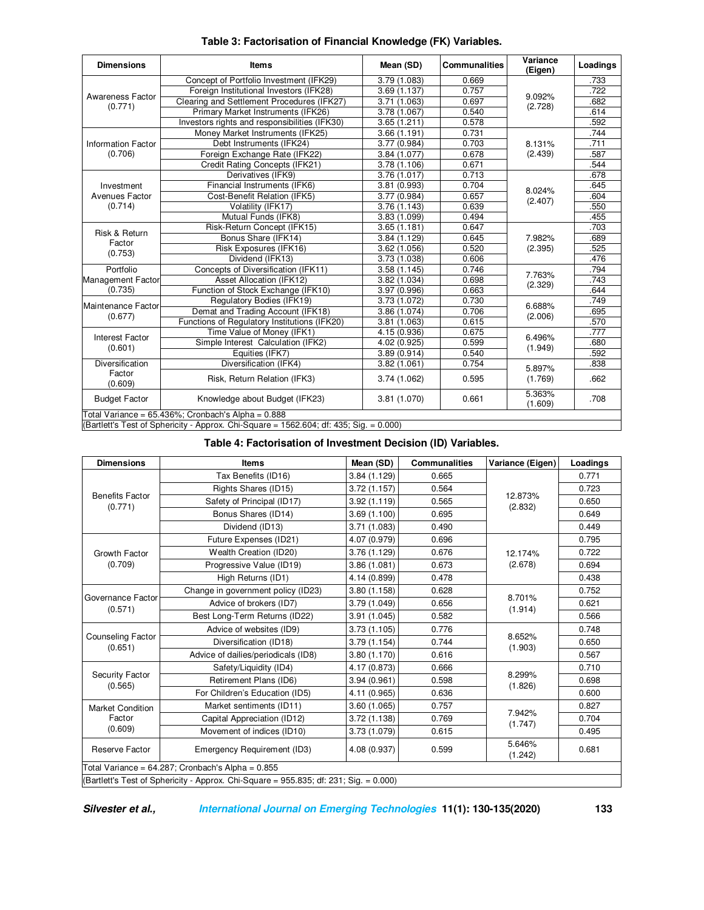| <b>Dimensions</b>                                                                                                                                                                                                                                                                                                                                                                                                                                                                                                                                                                                                                                         | <b>Items</b>                                                                           | Mean (SD)                                                                                                                                                                                                                                                                                                                                                                                                                                                                                                                                                                                                                                                                                                                                                                                                                                                                                                                                                              | <b>Communalities</b> | Variance<br>(Eigen)                                                                                                                            | Loadings |
|-----------------------------------------------------------------------------------------------------------------------------------------------------------------------------------------------------------------------------------------------------------------------------------------------------------------------------------------------------------------------------------------------------------------------------------------------------------------------------------------------------------------------------------------------------------------------------------------------------------------------------------------------------------|----------------------------------------------------------------------------------------|------------------------------------------------------------------------------------------------------------------------------------------------------------------------------------------------------------------------------------------------------------------------------------------------------------------------------------------------------------------------------------------------------------------------------------------------------------------------------------------------------------------------------------------------------------------------------------------------------------------------------------------------------------------------------------------------------------------------------------------------------------------------------------------------------------------------------------------------------------------------------------------------------------------------------------------------------------------------|----------------------|------------------------------------------------------------------------------------------------------------------------------------------------|----------|
|                                                                                                                                                                                                                                                                                                                                                                                                                                                                                                                                                                                                                                                           | Concept of Portfolio Investment (IFK29)                                                | 3.79 (1.083)                                                                                                                                                                                                                                                                                                                                                                                                                                                                                                                                                                                                                                                                                                                                                                                                                                                                                                                                                           | 0.669                |                                                                                                                                                | .733     |
|                                                                                                                                                                                                                                                                                                                                                                                                                                                                                                                                                                                                                                                           | Foreign Institutional Investors (IFK28)                                                | 3.69(1.137)                                                                                                                                                                                                                                                                                                                                                                                                                                                                                                                                                                                                                                                                                                                                                                                                                                                                                                                                                            | 0.757                |                                                                                                                                                | .722     |
| Awareness Factor<br>(0.771)<br><b>Information Factor</b><br>(0.706)<br>Investment<br>Avenues Factor<br>(0.714)<br>Risk & Return<br>Factor<br>(0.753)<br>Portfolio<br>(0.735)<br>(0.677)<br><b>Interest Factor</b>                                                                                                                                                                                                                                                                                                                                                                                                                                         | Clearing and Settlement Procedures (IFK27)                                             | 3.71 (1.063)                                                                                                                                                                                                                                                                                                                                                                                                                                                                                                                                                                                                                                                                                                                                                                                                                                                                                                                                                           | 0.697                |                                                                                                                                                | .682     |
|                                                                                                                                                                                                                                                                                                                                                                                                                                                                                                                                                                                                                                                           | Primary Market Instruments (IFK26)                                                     | 3.78 (1.067)                                                                                                                                                                                                                                                                                                                                                                                                                                                                                                                                                                                                                                                                                                                                                                                                                                                                                                                                                           | 0.540                |                                                                                                                                                | .614     |
|                                                                                                                                                                                                                                                                                                                                                                                                                                                                                                                                                                                                                                                           | Investors rights and responsibilities (IFK30)                                          | 0.578<br>3.65(1.211)<br>0.731<br>3.66(1.191)<br>0.703<br>Debt Instruments (IFK24)<br>3.77 (0.984)<br>0.678<br>3.84 (1.077)<br>0.671<br>3.78(1.106)<br>0.713<br>Derivatives (IFK9)<br>3.76(1.017)<br>3.81 (0.993)<br>0.704<br>3.77 (0.984)<br>0.657<br>(2.407)<br>Volatility (IFK17)<br>3.76(1.143)<br>0.639<br>Mutual Funds (IFK8)<br>3.83 (1.099)<br>0.494<br>3.65(1.181)<br>0.647<br>Bonus Share (IFK14)<br>0.645<br>3.84 (1.129)<br>Risk Exposures (IFK16)<br>0.520<br>(2.395)<br>3.62(1.056)<br>Dividend (IFK13)<br>0.606<br>3.73 (1.038)<br>0.746<br>3.58(1.145)<br>Asset Allocation (IFK12)<br>0.698<br>3.82 (1.034)<br>3.97 (0.996)<br>0.663<br>Regulatory Bodies (IFK19)<br>0.730<br>3.73 (1.072)<br>0.706<br>3.86 (1.074)<br>0.615<br>3.81(1.063)<br>0.675<br>4.15 (0.936)<br>0.599<br>4.02 (0.925)<br>Equities (IFK7)<br>0.540<br>3.89(0.914)<br>Diversification (IFK4)<br>3.82(1.061)<br>0.754<br>3.74 (1.062)<br>0.595<br>3.81 (1.070)<br>0.661<br>(1.609) |                      | .592                                                                                                                                           |          |
|                                                                                                                                                                                                                                                                                                                                                                                                                                                                                                                                                                                                                                                           | Money Market Instruments (IFK25)                                                       |                                                                                                                                                                                                                                                                                                                                                                                                                                                                                                                                                                                                                                                                                                                                                                                                                                                                                                                                                                        |                      | 9.092%<br>(2.728)<br>8.131%<br>(2.439)<br>8.024%<br>7.982%<br>7.763%<br>(2.329)<br>6.688%<br>(2.006)<br>6.496%<br>(1.949)<br>5.897%<br>(1.769) | .744     |
| Foreign Exchange Rate (IFK22)<br>Credit Rating Concepts (IFK21)<br>Financial Instruments (IFK6)<br>Cost-Benefit Relation (IFK5)<br>Risk-Return Concept (IFK15)<br>Concepts of Diversification (IFK11)<br><b>Management Factor</b><br>Function of Stock Exchange (IFK10)<br>Maintenance Factor<br>Demat and Trading Account (IFK18)<br>Functions of Regulatory Institutions (IFK20)<br>Time Value of Money (IFK1)<br>Simple Interest Calculation (IFK2)<br>(0.601)<br>Diversification<br>Factor<br>Risk, Return Relation (IFK3)<br>(0.609)<br>Knowledge about Budget (IFK23)<br><b>Budget Factor</b><br>Total Variance = 65.436%; Cronbach's Alpha = 0.888 |                                                                                        |                                                                                                                                                                                                                                                                                                                                                                                                                                                                                                                                                                                                                                                                                                                                                                                                                                                                                                                                                                        | .711                 |                                                                                                                                                |          |
|                                                                                                                                                                                                                                                                                                                                                                                                                                                                                                                                                                                                                                                           |                                                                                        |                                                                                                                                                                                                                                                                                                                                                                                                                                                                                                                                                                                                                                                                                                                                                                                                                                                                                                                                                                        |                      |                                                                                                                                                | .587     |
|                                                                                                                                                                                                                                                                                                                                                                                                                                                                                                                                                                                                                                                           |                                                                                        |                                                                                                                                                                                                                                                                                                                                                                                                                                                                                                                                                                                                                                                                                                                                                                                                                                                                                                                                                                        |                      | .544                                                                                                                                           |          |
|                                                                                                                                                                                                                                                                                                                                                                                                                                                                                                                                                                                                                                                           |                                                                                        |                                                                                                                                                                                                                                                                                                                                                                                                                                                                                                                                                                                                                                                                                                                                                                                                                                                                                                                                                                        |                      |                                                                                                                                                | .678     |
|                                                                                                                                                                                                                                                                                                                                                                                                                                                                                                                                                                                                                                                           |                                                                                        |                                                                                                                                                                                                                                                                                                                                                                                                                                                                                                                                                                                                                                                                                                                                                                                                                                                                                                                                                                        |                      |                                                                                                                                                | .645     |
|                                                                                                                                                                                                                                                                                                                                                                                                                                                                                                                                                                                                                                                           |                                                                                        |                                                                                                                                                                                                                                                                                                                                                                                                                                                                                                                                                                                                                                                                                                                                                                                                                                                                                                                                                                        |                      |                                                                                                                                                | .604     |
|                                                                                                                                                                                                                                                                                                                                                                                                                                                                                                                                                                                                                                                           |                                                                                        |                                                                                                                                                                                                                                                                                                                                                                                                                                                                                                                                                                                                                                                                                                                                                                                                                                                                                                                                                                        |                      |                                                                                                                                                | .550     |
|                                                                                                                                                                                                                                                                                                                                                                                                                                                                                                                                                                                                                                                           |                                                                                        |                                                                                                                                                                                                                                                                                                                                                                                                                                                                                                                                                                                                                                                                                                                                                                                                                                                                                                                                                                        |                      |                                                                                                                                                | .455     |
|                                                                                                                                                                                                                                                                                                                                                                                                                                                                                                                                                                                                                                                           |                                                                                        |                                                                                                                                                                                                                                                                                                                                                                                                                                                                                                                                                                                                                                                                                                                                                                                                                                                                                                                                                                        |                      |                                                                                                                                                | .703     |
|                                                                                                                                                                                                                                                                                                                                                                                                                                                                                                                                                                                                                                                           |                                                                                        |                                                                                                                                                                                                                                                                                                                                                                                                                                                                                                                                                                                                                                                                                                                                                                                                                                                                                                                                                                        |                      | .689                                                                                                                                           |          |
|                                                                                                                                                                                                                                                                                                                                                                                                                                                                                                                                                                                                                                                           |                                                                                        |                                                                                                                                                                                                                                                                                                                                                                                                                                                                                                                                                                                                                                                                                                                                                                                                                                                                                                                                                                        |                      |                                                                                                                                                | .525     |
|                                                                                                                                                                                                                                                                                                                                                                                                                                                                                                                                                                                                                                                           |                                                                                        |                                                                                                                                                                                                                                                                                                                                                                                                                                                                                                                                                                                                                                                                                                                                                                                                                                                                                                                                                                        |                      |                                                                                                                                                | .476     |
|                                                                                                                                                                                                                                                                                                                                                                                                                                                                                                                                                                                                                                                           |                                                                                        |                                                                                                                                                                                                                                                                                                                                                                                                                                                                                                                                                                                                                                                                                                                                                                                                                                                                                                                                                                        |                      |                                                                                                                                                | .794     |
|                                                                                                                                                                                                                                                                                                                                                                                                                                                                                                                                                                                                                                                           |                                                                                        |                                                                                                                                                                                                                                                                                                                                                                                                                                                                                                                                                                                                                                                                                                                                                                                                                                                                                                                                                                        |                      | .743                                                                                                                                           |          |
|                                                                                                                                                                                                                                                                                                                                                                                                                                                                                                                                                                                                                                                           |                                                                                        |                                                                                                                                                                                                                                                                                                                                                                                                                                                                                                                                                                                                                                                                                                                                                                                                                                                                                                                                                                        |                      | .644                                                                                                                                           |          |
|                                                                                                                                                                                                                                                                                                                                                                                                                                                                                                                                                                                                                                                           |                                                                                        |                                                                                                                                                                                                                                                                                                                                                                                                                                                                                                                                                                                                                                                                                                                                                                                                                                                                                                                                                                        |                      |                                                                                                                                                | .749     |
|                                                                                                                                                                                                                                                                                                                                                                                                                                                                                                                                                                                                                                                           |                                                                                        |                                                                                                                                                                                                                                                                                                                                                                                                                                                                                                                                                                                                                                                                                                                                                                                                                                                                                                                                                                        |                      |                                                                                                                                                | .695     |
|                                                                                                                                                                                                                                                                                                                                                                                                                                                                                                                                                                                                                                                           |                                                                                        |                                                                                                                                                                                                                                                                                                                                                                                                                                                                                                                                                                                                                                                                                                                                                                                                                                                                                                                                                                        |                      |                                                                                                                                                | .570     |
|                                                                                                                                                                                                                                                                                                                                                                                                                                                                                                                                                                                                                                                           |                                                                                        |                                                                                                                                                                                                                                                                                                                                                                                                                                                                                                                                                                                                                                                                                                                                                                                                                                                                                                                                                                        |                      |                                                                                                                                                | .777     |
|                                                                                                                                                                                                                                                                                                                                                                                                                                                                                                                                                                                                                                                           |                                                                                        |                                                                                                                                                                                                                                                                                                                                                                                                                                                                                                                                                                                                                                                                                                                                                                                                                                                                                                                                                                        |                      |                                                                                                                                                | .680     |
|                                                                                                                                                                                                                                                                                                                                                                                                                                                                                                                                                                                                                                                           |                                                                                        |                                                                                                                                                                                                                                                                                                                                                                                                                                                                                                                                                                                                                                                                                                                                                                                                                                                                                                                                                                        |                      |                                                                                                                                                | .592     |
|                                                                                                                                                                                                                                                                                                                                                                                                                                                                                                                                                                                                                                                           |                                                                                        |                                                                                                                                                                                                                                                                                                                                                                                                                                                                                                                                                                                                                                                                                                                                                                                                                                                                                                                                                                        |                      |                                                                                                                                                | .838     |
|                                                                                                                                                                                                                                                                                                                                                                                                                                                                                                                                                                                                                                                           |                                                                                        |                                                                                                                                                                                                                                                                                                                                                                                                                                                                                                                                                                                                                                                                                                                                                                                                                                                                                                                                                                        |                      |                                                                                                                                                | .662     |
|                                                                                                                                                                                                                                                                                                                                                                                                                                                                                                                                                                                                                                                           |                                                                                        |                                                                                                                                                                                                                                                                                                                                                                                                                                                                                                                                                                                                                                                                                                                                                                                                                                                                                                                                                                        |                      | 5.363%                                                                                                                                         | .708     |
|                                                                                                                                                                                                                                                                                                                                                                                                                                                                                                                                                                                                                                                           |                                                                                        |                                                                                                                                                                                                                                                                                                                                                                                                                                                                                                                                                                                                                                                                                                                                                                                                                                                                                                                                                                        |                      |                                                                                                                                                |          |
|                                                                                                                                                                                                                                                                                                                                                                                                                                                                                                                                                                                                                                                           | (Bartlett's Test of Sphericity - Approx. Chi-Square = 1562.604; df: 435; Sig. = 0.000) |                                                                                                                                                                                                                                                                                                                                                                                                                                                                                                                                                                                                                                                                                                                                                                                                                                                                                                                                                                        |                      |                                                                                                                                                |          |

| Table 3: Factorisation of Financial Knowledge (FK) Variables. |  |  |  |
|---------------------------------------------------------------|--|--|--|
|                                                               |  |  |  |

(Bartlett's Test of Sphericity - Approx. Chi-Square = 1562.604; df: 435; Sig. = 0.000)

## **Table 4: Factorisation of Investment Decision (ID) Variables.**

| <b>Dimensions</b>                 | <b>Items</b>                                                                          | Mean (SD)    | <b>Communalities</b> | Variance (Eigen)   | Loadings |
|-----------------------------------|---------------------------------------------------------------------------------------|--------------|----------------------|--------------------|----------|
|                                   | Tax Benefits (ID16)                                                                   | 3.84(1.129)  | 0.665                |                    | 0.771    |
|                                   | Rights Shares (ID15)                                                                  | 3.72(1.157)  | 0.564                |                    | 0.723    |
| <b>Benefits Factor</b><br>(0.771) | Safety of Principal (ID17)                                                            | 3.92(1.119)  | 0.565                | 12.873%<br>(2.832) | 0.650    |
|                                   | Bonus Shares (ID14)                                                                   | 3.69(1.100)  | 0.695                |                    | 0.649    |
|                                   | Dividend (ID13)                                                                       | 3.71(1.083)  | 0.490                |                    | 0.449    |
|                                   | Future Expenses (ID21)                                                                | 4.07 (0.979) | 0.696                |                    | 0.795    |
| Growth Factor                     | Wealth Creation (ID20)                                                                | 3.76 (1.129) | 0.676                | 12.174%            | 0.722    |
| (0.709)                           | Progressive Value (ID19)                                                              | 3.86(1.081)  | 0.673                | (2.678)            | 0.694    |
|                                   | High Returns (ID1)                                                                    | 4.14 (0.899) | 0.478                |                    | 0.438    |
|                                   | Change in government policy (ID23)                                                    | 3.80(1.158)  | 0.628                |                    | 0.752    |
| Governance Factor                 | Advice of brokers (ID7)                                                               | 3.79 (1.049) | 0.656                | 8.701%<br>(1.914)  | 0.621    |
| (0.571)                           | Best Long-Term Returns (ID22)                                                         | 3.91 (1.045) | 0.582                |                    | 0.566    |
| Counseling Factor<br>(0.651)      | Advice of websites (ID9)                                                              | 3.73(1.105)  | 0.776                |                    | 0.748    |
|                                   | Diversification (ID18)<br>3.79(1.154)                                                 |              | 0.744                | 8.652%<br>(1.903)  | 0.650    |
|                                   | Advice of dailies/periodicals (ID8)                                                   | 3.80(1.170)  | 0.616                |                    | 0.567    |
|                                   | Safety/Liquidity (ID4)                                                                | 4.17 (0.873) | 0.666                |                    | 0.710    |
| Security Factor<br>(0.565)        | Retirement Plans (ID6)                                                                | 3.94(0.961)  | 0.598                | 8.299%<br>(1.826)  | 0.698    |
|                                   | For Children's Education (ID5)                                                        | 4.11 (0.965) | 0.636                |                    | 0.600    |
| <b>Market Condition</b>           | Market sentiments (ID11)                                                              | 3.60(1.065)  | 0.757                |                    | 0.827    |
| Factor                            | Capital Appreciation (ID12)                                                           | 3.72(1.138)  | 0.769                | 7.942%<br>(1.747)  | 0.704    |
| (0.609)                           | Movement of indices (ID10)                                                            | 3.73 (1.079) | 0.615                |                    | 0.495    |
| Reserve Factor                    | Emergency Requirement (ID3)                                                           | 4.08 (0.937) | 0.599                | 5.646%<br>(1.242)  | 0.681    |
|                                   | Total Variance = 64.287; Cronbach's Alpha = 0.855                                     |              |                      |                    |          |
|                                   | (Bartlett's Test of Sphericity - Approx. Chi-Square = 955.835; df: 231; Sig. = 0.000) |              |                      |                    |          |

**Silvester et al., International Journal on Emerging Technologies 11(1): 130-135(2020) 133**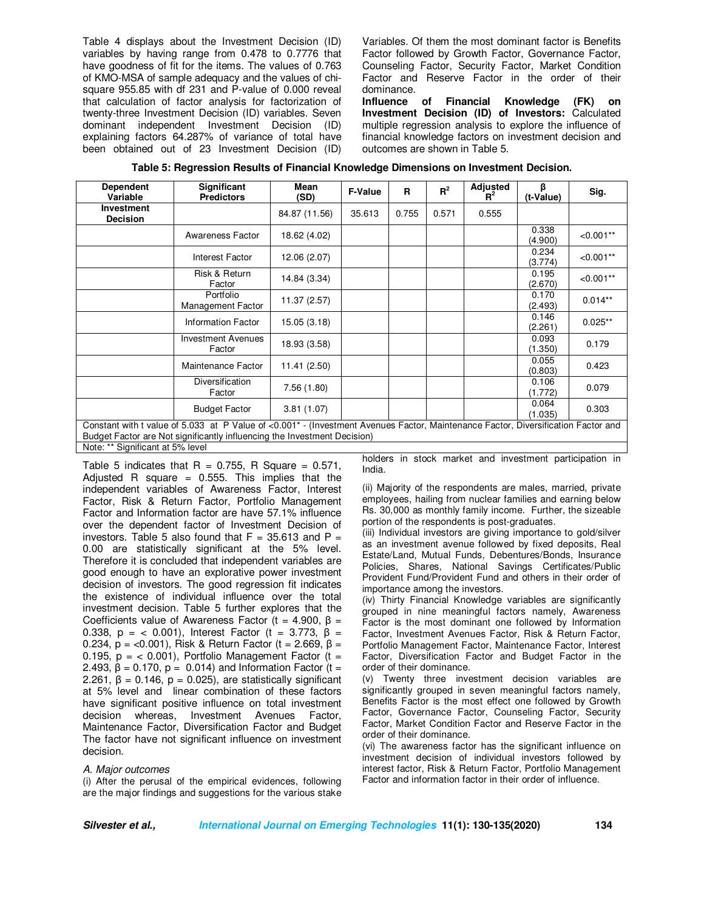Table 4 displays about the Investment Decision (ID) variables by having range from 0.478 to 0.7776 that have goodness of fit for the items. The values of 0.763 of KMO-MSA of sample adequacy and the values of chisquare 955.85 with df 231 and P-value of 0.000 reveal that calculation of factor analysis for factorization of twenty-three Investment Decision (ID) variables. Seven dominant independent Investment Decision (ID) explaining factors 64.287% of variance of total have been obtained out of 23 Investment Decision (ID) Variables. Of them the most dominant factor is Benefits Factor followed by Growth Factor, Governance Factor, Counseling Factor, Security Factor, Market Condition Factor and Reserve Factor in the order of their dominance.

**Influence of Financial Knowledge (FK) on Investment Decision (ID) of Investors:** Calculated multiple regression analysis to explore the influence of financial knowledge factors on investment decision and outcomes are shown in Table 5.

| <b>Dependent</b><br>Variable                                                                                                                                                                                              | Significant<br><b>Predictors</b>    | Mean<br>(SD)  | <b>F-Value</b> | R     | $R^2$ | Adjusted<br>$R^2$ | β<br>(t-Value)   | Sig.        |
|---------------------------------------------------------------------------------------------------------------------------------------------------------------------------------------------------------------------------|-------------------------------------|---------------|----------------|-------|-------|-------------------|------------------|-------------|
| <b>Investment</b><br><b>Decision</b>                                                                                                                                                                                      |                                     | 84.87 (11.56) | 35.613         | 0.755 | 0.571 | 0.555             |                  |             |
|                                                                                                                                                                                                                           | Awareness Factor                    | 18.62 (4.02)  |                |       |       |                   | 0.338<br>(4.900) | $< 0.001**$ |
|                                                                                                                                                                                                                           | Interest Factor                     | 12.06 (2.07)  |                |       |       |                   | 0.234<br>(3.774) | $< 0.001**$ |
|                                                                                                                                                                                                                           | Risk & Return<br>Factor             | 14.84 (3.34)  |                |       |       |                   | 0.195<br>(2.670) | $< 0.001**$ |
|                                                                                                                                                                                                                           | Portfolio<br>Management Factor      | 11.37 (2.57)  |                |       |       |                   | 0.170<br>(2.493) | $0.014**$   |
|                                                                                                                                                                                                                           | <b>Information Factor</b>           | 15.05(3.18)   |                |       |       |                   | 0.146<br>(2.261) | $0.025**$   |
|                                                                                                                                                                                                                           | <b>Investment Avenues</b><br>Factor | 18.93 (3.58)  |                |       |       |                   | 0.093<br>(1.350) | 0.179       |
|                                                                                                                                                                                                                           | Maintenance Factor                  | 11.41(2.50)   |                |       |       |                   | 0.055<br>(0.803) | 0.423       |
|                                                                                                                                                                                                                           | <b>Diversification</b><br>Factor    | 7.56(1.80)    |                |       |       |                   | 0.106<br>(1.772) | 0.079       |
|                                                                                                                                                                                                                           | <b>Budget Factor</b>                | 3.81(1.07)    |                |       |       |                   | 0.064<br>(1.035) | 0.303       |
| Constant with t value of 5.033 at P Value of <0.001 <sup>*</sup> - (Investment Avenues Factor, Maintenance Factor, Diversification Factor and<br>Budget Factor are Not significantly influencing the Investment Decision) |                                     |               |                |       |       |                   |                  |             |

**Table 5: Regression Results of Financial Knowledge Dimensions on Investment Decision.** 

Note: \*\* Significant at 5% level

Table 5 indicates that  $R = 0.755$ , R Square = 0.571, Adjusted R square =  $0.555$ . This implies that the independent variables of Awareness Factor, Interest Factor, Risk & Return Factor, Portfolio Management Factor and Information factor are have 57.1% influence over the dependent factor of Investment Decision of investors. Table 5 also found that  $F = 35.613$  and  $P =$ 0.00 are statistically significant at the 5% level. Therefore it is concluded that independent variables are good enough to have an explorative power investment decision of investors. The good regression fit indicates the existence of individual influence over the total investment decision. Table 5 further explores that the Coefficients value of Awareness Factor (t = 4.900, β = 0.338, p = < 0.001), Interest Factor (t = 3.773, β = 0.234,  $p = < 0.001$ ), Risk & Return Factor (t = 2.669, β = 0.195,  $p = 0.001$ , Portfolio Management Factor (t = 2.493,  $β = 0.170$ ,  $p = 0.014$ ) and Information Factor (t = 2.261,  $β = 0.146$ ,  $p = 0.025$ ), are statistically significant at 5% level and linear combination of these factors have significant positive influence on total investment decision whereas, Investment Avenues Factor, Maintenance Factor, Diversification Factor and Budget The factor have not significant influence on investment decision.

#### *A. Major outcomes*

(i) After the perusal of the empirical evidences, following are the major findings and suggestions for the various stake

holders in stock market and investment participation in India.

(ii) Majority of the respondents are males, married, private employees, hailing from nuclear families and earning below Rs. 30,000 as monthly family income. Further, the sizeable portion of the respondents is post-graduates.

(iii) Individual investors are giving importance to gold/silver as an investment avenue followed by fixed deposits, Real Estate/Land, Mutual Funds, Debentures/Bonds, Insurance Policies, Shares, National Savings Certificates/Public Provident Fund/Provident Fund and others in their order of importance among the investors.

(iv) Thirty Financial Knowledge variables are significantly grouped in nine meaningful factors namely, Awareness Factor is the most dominant one followed by Information Factor, Investment Avenues Factor, Risk & Return Factor, Portfolio Management Factor, Maintenance Factor, Interest Factor, Diversification Factor and Budget Factor in the order of their dominance.

(v) Twenty three investment decision variables are significantly grouped in seven meaningful factors namely, Benefits Factor is the most effect one followed by Growth Factor, Governance Factor, Counseling Factor, Security Factor, Market Condition Factor and Reserve Factor in the order of their dominance.

(vi) The awareness factor has the significant influence on investment decision of individual investors followed by interest factor, Risk & Return Factor, Portfolio Management Factor and information factor in their order of influence.